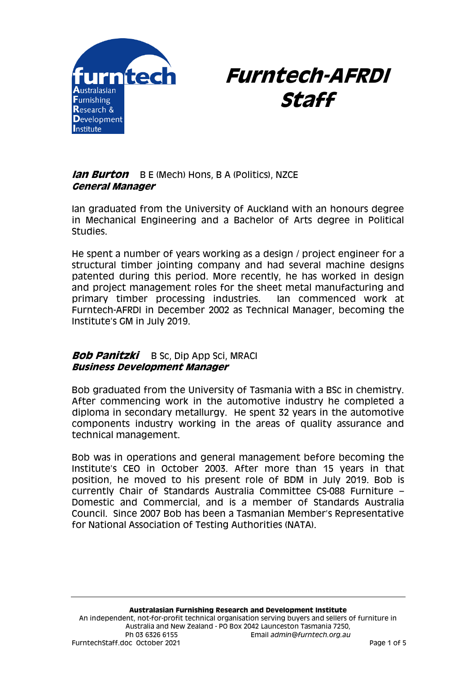



## **Ian Burton** B E (Mech) Hons, B A (Politics), NZCE **General Manager**

Ian graduated from the University of Auckland with an honours degree in Mechanical Engineering and a Bachelor of Arts degree in Political Studies.

He spent a number of years working as a design / project engineer for a structural timber jointing company and had several machine designs patented during this period. More recently, he has worked in design and project management roles for the sheet metal manufacturing and primary timber processing industries. Ian commenced work at Furntech-AFRDI in December 2002 as Technical Manager, becoming the Institute's GM in July 2019.

# **Bob Panitzki** B Sc, Dip App Sci, MRACI **Business Development Manager**

Bob graduated from the University of Tasmania with a BSc in chemistry. After commencing work in the automotive industry he completed a diploma in secondary metallurgy. He spent 32 years in the automotive components industry working in the areas of quality assurance and technical management.

Bob was in operations and general management before becoming the Institute's CEO in October 2003. After more than 15 years in that position, he moved to his present role of BDM in July 2019. Bob is currently Chair of Standards Australia Committee CS-088 Furniture – Domestic and Commercial, and is a member of Standards Australia Council. Since 2007 Bob has been a Tasmanian Member's Representative for National Association of Testing Authorities (NATA).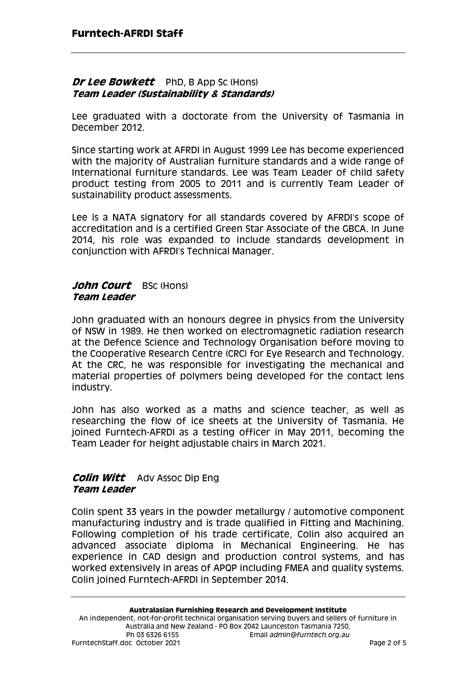### **Dr Lee Bowkett** PhD, B App Sc (Hons) **Team Leader (Sustainability & Standards)**

Lee graduated with a doctorate from the University of Tasmania in December 2012.

Since starting work at AFRDI in August 1999 Lee has become experienced with the majority of Australian furniture standards and a wide range of International furniture standards. Lee was Team Leader of child safety product testing from 2005 to 2011 and is currently Team Leader of sustainability product assessments.

Lee is a NATA signatory for all standards covered by AFRDI's scope of accreditation and is a certified Green Star Associate of the GBCA. In June 2014, his role was expanded to include standards development in conjunction with AFRDI's Technical Manager.

#### John Court BSc (Hons) **Team Leader**

John graduated with an honours degree in physics from the University of NSW in 1989. He then worked on electromagnetic radiation research at the Defence Science and Technology Organisation before moving to the Cooperative Research Centre (CRC) for Eye Research and Technology. At the CRC, he was responsible for investigating the mechanical and material properties of polymers being developed for the contact lens industry.

John has also worked as a maths and science teacher, as well as researching the flow of ice sheets at the University of Tasmania. He joined Furntech-AFRDI as a testing officer in May 2011, becoming the Team Leader for height adjustable chairs in March 2021.

## **Colin Witt** Adv Assoc Dip Eng **Team Leader**

Colin spent 33 years in the powder metallurgy / automotive component manufacturing industry and is trade qualified in Fitting and Machining. Following completion of his trade certificate, Colin also acquired an advanced associate diploma in Mechanical Engineering. He has experience in CAD design and production control systems, and has worked extensively in areas of APQP including FMEA and quality systems. Colin joined Furntech-AFRDI in September 2014.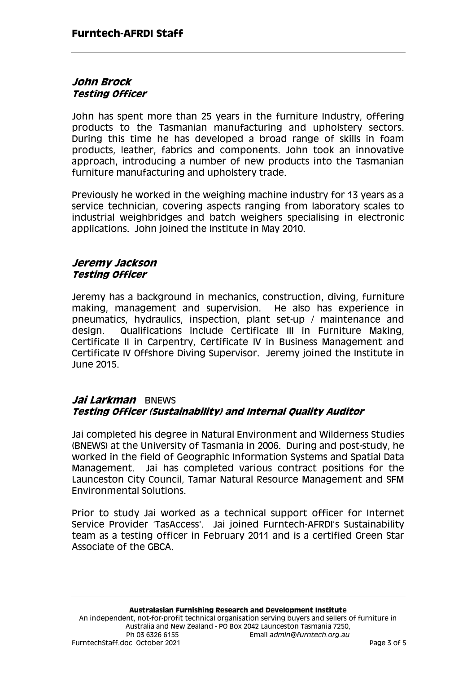## **John Brock Testing Officer**

John has spent more than 25 years in the furniture Industry, offering products to the Tasmanian manufacturing and upholstery sectors. During this time he has developed a broad range of skills in foam products, leather, fabrics and components. John took an innovative approach, introducing a number of new products into the Tasmanian furniture manufacturing and upholstery trade.

Previously he worked in the weighing machine industry for 13 years as a service technician, covering aspects ranging from laboratory scales to industrial weighbridges and batch weighers specialising in electronic applications. John joined the Institute in May 2010.

### **Jeremy Jackson Testing Officer**

Jeremy has a background in mechanics, construction, diving, furniture making, management and supervision. He also has experience in pneumatics, hydraulics, inspection, plant set-up / maintenance and design. Qualifications include Certificate III in Furniture Making, Certificate II in Carpentry, Certificate IV in Business Management and Certificate IV Offshore Diving Supervisor. Jeremy joined the Institute in June 2015.

# **Jai Larkman** BNEWS **Testing Officer (Sustainability) and Internal Quality Auditor**

Jai completed his degree in Natural Environment and Wilderness Studies (BNEWS) at the University of Tasmania in 2006. During and post-study, he worked in the field of Geographic Information Systems and Spatial Data Management. Jai has completed various contract positions for the Launceston City Council, Tamar Natural Resource Management and SFM Environmental Solutions.

Prior to study Jai worked as a technical support officer for Internet Service Provider 'TasAccess'. Jai joined Furntech-AFRDI's Sustainability team as a testing officer in February 2011 and is a certified Green Star Associate of the GBCA.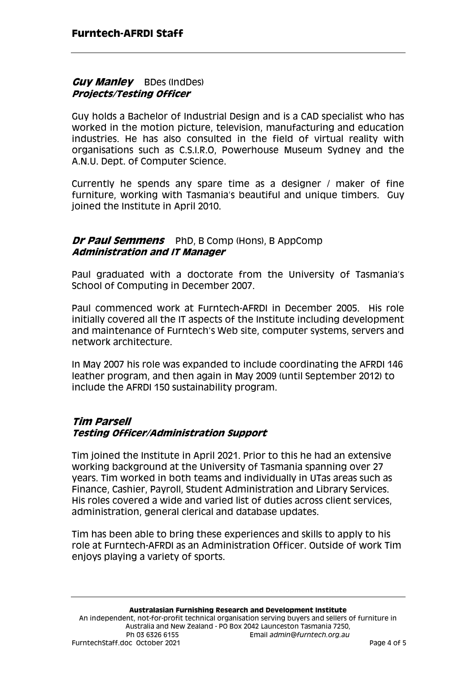### **Guy Manley** BDes (IndDes) **Projects/Testing Officer**

Guy holds a Bachelor of Industrial Design and is a CAD specialist who has worked in the motion picture, television, manufacturing and education industries. He has also consulted in the field of virtual reality with organisations such as C.S.I.R.O, Powerhouse Museum Sydney and the A.N.U. Dept. of Computer Science.

Currently he spends any spare time as a designer / maker of fine furniture, working with Tasmania's beautiful and unique timbers. Guy joined the Institute in April 2010.

### **Dr Paul Semmens** PhD, B Comp (Hons), B AppComp **Administration and IT Manager**

Paul graduated with a doctorate from the University of Tasmania's School of Computing in December 2007.

Paul commenced work at Furntech-AFRDI in December 2005. His role initially covered all the IT aspects of the Institute including development and maintenance of Furntech's Web site, computer systems, servers and network architecture.

In May 2007 his role was expanded to include coordinating the AFRDI 146 leather program, and then again in May 2009 (until September 2012) to include the AFRDI 150 sustainability program.

## **Tim Parsell Testing Officer/Administration Support**

Tim joined the Institute in April 2021. Prior to this he had an extensive working background at the University of Tasmania spanning over 27 years. Tim worked in both teams and individually in UTas areas such as Finance, Cashier, Payroll, Student Administration and Library Services. His roles covered a wide and varied list of duties across client services, administration, general clerical and database updates.

Tim has been able to bring these experiences and skills to apply to his role at Furntech-AFRDI as an Administration Officer. Outside of work Tim enjoys playing a variety of sports.